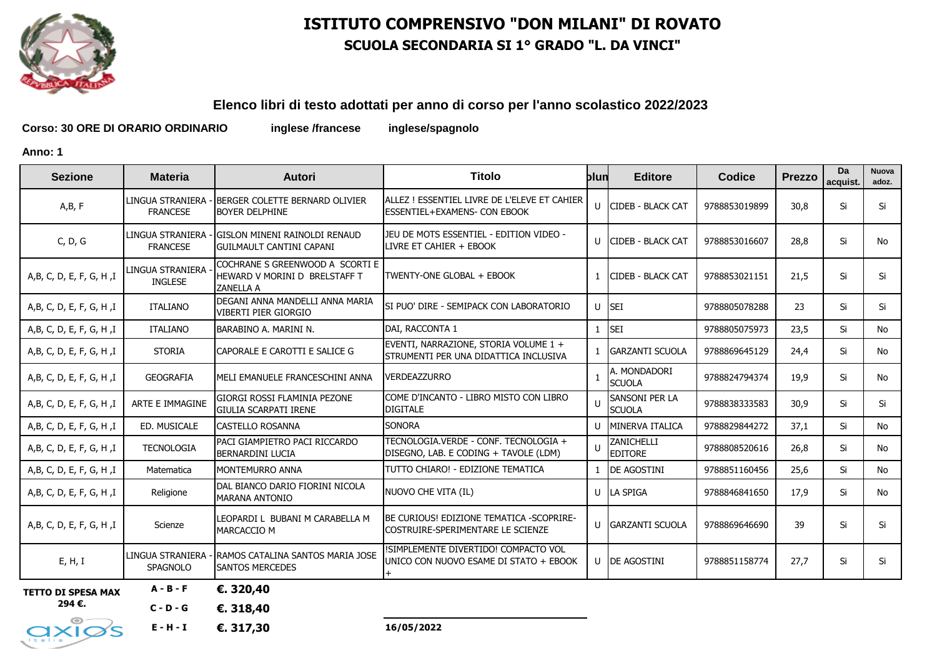

# **ISTITUTO COMPRENSIVO "DON MILANI" DI ROVATO SCUOLA SECONDARIA SI 1° GRADO "L. DA VINCI"**

#### **Elenco libri di testo adottati per anno di corso per l'anno scolastico 2022/2023**

**Corso: 30 ORE DI ORARIO ORDINARIO inglese /francese inglese/spagnolo**

**Anno: 1**

| <b>Sezione</b>            | <b>Materia</b>                      | <b>Autori</b>                                                                        | Titolo                                                                              | blun         | <b>Editore</b>                  | <b>Codice</b> | Prezzo | Da<br>acquist. | <b>Nuova</b><br>adoz. |
|---------------------------|-------------------------------------|--------------------------------------------------------------------------------------|-------------------------------------------------------------------------------------|--------------|---------------------------------|---------------|--------|----------------|-----------------------|
| A,B, F                    | LINGUA STRANIERA<br><b>FRANCESE</b> | BERGER COLETTE BERNARD OLIVIER<br><b>BOYER DELPHINE</b>                              | ALLEZ ! ESSENTIEL LIVRE DE L'ELEVE ET CAHIER<br><b>ESSENTIEL+EXAMENS- CON EBOOK</b> |              | U CIDEB - BLACK CAT             | 9788853019899 | 30,8   | Si             | Si                    |
| C, D, G                   | LINGUA STRANIERA<br><b>FRANCESE</b> | - GISLON MINENI RAINOLDI RENAUD<br><b>IGUILMAULT CANTINI CAPANI</b>                  | JEU DE MOTS ESSENTIEL - EDITION VIDEO -<br>LIVRE ET CAHIER + EBOOK                  | $\mathbf{U}$ | <b>ICIDEB - BLACK CAT</b>       | 9788853016607 | 28,8   | Si             | No                    |
| A, B, C, D, E, F, G, H, I | LINGUA STRANIERA<br><b>INGLESE</b>  | COCHRANE S GREENWOOD A SCORTI E<br>HEWARD V MORINI D BRELSTAFF T<br><b>ZANELLA A</b> | TWENTY-ONE GLOBAL + EBOOK                                                           |              | <b>CIDEB - BLACK CAT</b>        | 9788853021151 | 21,5   | Si             | Si                    |
| A,B, C, D, E, F, G, H, I  | <b>ITALIANO</b>                     | DEGANI ANNA MANDELLI ANNA MARIA<br><b>VIBERTI PIER GIORGIO</b>                       | SI PUO' DIRE - SEMIPACK CON LABORATORIO                                             | $\mathbf{U}$ | <b>SEI</b>                      | 9788805078288 | 23     | Si             | Si                    |
| A, B, C, D, E, F, G, H, I | <b>ITALIANO</b>                     | BARABINO A. MARINI N.                                                                | DAI, RACCONTA 1                                                                     |              | <b>SEI</b>                      | 9788805075973 | 23,5   | Si             | No                    |
| A,B, C, D, E, F, G, H, I  | <b>STORIA</b>                       | CAPORALE E CAROTTI E SALICE G                                                        | EVENTI, NARRAZIONE, STORIA VOLUME 1 +<br>STRUMENTI PER UNA DIDATTICA INCLUSIVA      |              | <b>GARZANTI SCUOLA</b>          | 9788869645129 | 24,4   | Si             | No                    |
| A,B, C, D, E, F, G, H, I  | <b>GEOGRAFIA</b>                    | MELI EMANUELE FRANCESCHINI ANNA                                                      | <b>VERDEAZZURRO</b>                                                                 |              | A. MONDADORI<br><b>SCUOLA</b>   | 9788824794374 | 19,9   | Si             | No                    |
| A, B, C, D, E, F, G, H, I | ARTE E IMMAGINE                     | GIORGI ROSSI FLAMINIA PEZONE<br><b>GIULIA SCARPATI IRENE</b>                         | COME D'INCANTO - LIBRO MISTO CON LIBRO<br><b>DIGITALE</b>                           |              | SANSONI PER LA<br><b>SCUOLA</b> | 9788838333583 | 30,9   | Si             | Si                    |
| A, B, C, D, E, F, G, H, I | ED. MUSICALE                        | <b>CASTELLO ROSANNA</b>                                                              | <b>SONORA</b>                                                                       | $\mathbf{U}$ | MINERVA ITALICA                 | 9788829844272 | 37,1   | Si             | No                    |
| A,B, C, D, E, F, G, H, I  | <b>TECNOLOGIA</b>                   | PACI GIAMPIETRO PACI RICCARDO<br><b>BERNARDINI LUCIA</b>                             | TECNOLOGIA.VERDE - CONF. TECNOLOGIA +<br>DISEGNO, LAB. E CODING + TAVOLE (LDM)      |              | ZANICHELLI<br><b>EDITORE</b>    | 9788808520616 | 26,8   | Si             | No.                   |
| A, B, C, D, E, F, G, H, I | Matematica                          | <b>MONTEMURRO ANNA</b>                                                               | TUTTO CHIARO! - EDIZIONE TEMATICA                                                   |              | DE AGOSTINI                     | 9788851160456 | 25,6   | Si             | No                    |
| A,B, C, D, E, F, G, H, I  | Religione                           | DAL BIANCO DARIO FIORINI NICOLA<br><b>MARANA ANTONIO</b>                             | NUOVO CHE VITA (IL)                                                                 | $\mathbf{U}$ | LA SPIGA                        | 9788846841650 | 17,9   | Si             | No                    |
| A,B, C, D, E, F, G, H, I  | Scienze                             | LEOPARDI L BUBANI M CARABELLA M<br><b>MARCACCIO M</b>                                | BE CURIOUS! EDIZIONE TEMATICA -SCOPRIRE-<br>COSTRUIRE-SPERIMENTARE LE SCIENZE       | $\mathbf{U}$ | <b>GARZANTI SCUOLA</b>          | 9788869646690 | 39     | Si             | Si                    |
| E, H, I                   | <b>SPAGNOLO</b>                     | LINGUA STRANIERA - IRAMOS CATALINA SANTOS MARIA JOSE<br><b>ISANTOS MERCEDES</b>      | !SIMPLEMENTE DIVERTIDO! COMPACTO VOL<br>UNICO CON NUOVO ESAME DI STATO + EBOOK      |              | U <b>DE AGOSTINI</b>            | 9788851158774 | 27,7   | Si             | Si                    |
| <b>TETTO DI SPESA MAX</b> | $A - B - F$                         | €. 320,40                                                                            |                                                                                     |              |                                 |               |        |                |                       |

**294 €.**

**C - D - G €. 318,40** 

**16/05/2022**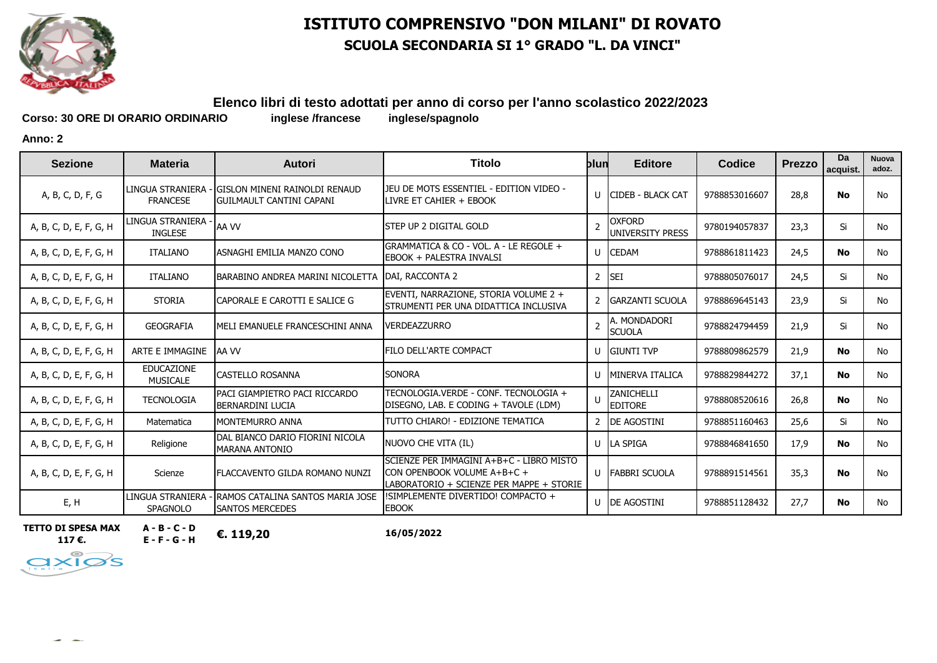

# **ISTITUTO COMPRENSIVO "DON MILANI" DI ROVATO SCUOLA SECONDARIA SI 1° GRADO "L. DA VINCI"**

# **Elenco libri di testo adottati per anno di corso per l'anno scolastico 2022/2023**

Corso: 30 ORE DI ORARIO ORDINARIO inglese /francese

**Anno: 2**

| <b>Sezione</b>         | <b>Materia</b>                       | <b>Autori</b>                                                     | Titolo                                                                                                              | blun                     | <b>Editore</b>                           | Codice        | <b>Prezzo</b> | Da<br>acquist. | Nuova<br>adoz. |
|------------------------|--------------------------------------|-------------------------------------------------------------------|---------------------------------------------------------------------------------------------------------------------|--------------------------|------------------------------------------|---------------|---------------|----------------|----------------|
| A, B, C, D, F, G       | LINGUA STRANIERA<br><b>FRANCESE</b>  | igislon mineni rainoldi renaud<br><b>GUILMAULT CANTINI CAPANI</b> | JEU DE MOTS ESSENTIEL - EDITION VIDEO -<br>LIVRE ET CAHIER + EBOOK                                                  | $\mathsf{U}$             | ICIDEB - BLACK CAT                       | 9788853016607 | 28,8          | No             | <b>No</b>      |
| A, B, C, D, E, F, G, H | LINGUA STRANIERA<br><b>INGLESE</b>   | AA VV                                                             | STEP UP 2 DIGITAL GOLD                                                                                              | $\mathcal{P}$            | <b>OXFORD</b><br><b>UNIVERSITY PRESS</b> | 9780194057837 | 23,3          | Si             | No             |
| A, B, C, D, E, F, G, H | <b>ITALIANO</b>                      | ASNAGHI EMILIA MANZO CONO                                         | GRAMMATICA & CO - VOL. A - LE REGOLE +<br>EBOOK + PALESTRA INVALSI                                                  |                          | U CEDAM                                  | 9788861811423 | 24,5          | No             | <b>No</b>      |
| A, B, C, D, E, F, G, H | <b>ITALIANO</b>                      | BARABINO ANDREA MARINI NICOLETTA                                  | DAI, RACCONTA 2                                                                                                     |                          | 2 SEI                                    | 9788805076017 | 24,5          | Si             | <b>No</b>      |
| A, B, C, D, E, F, G, H | <b>STORIA</b>                        | CAPORALE E CAROTTI E SALICE G                                     | EVENTI, NARRAZIONE, STORIA VOLUME 2 +<br>STRUMENTI PER UNA DIDATTICA INCLUSIVA                                      |                          | 2 GARZANTI SCUOLA                        | 9788869645143 | 23,9          | Si             | <b>No</b>      |
| A, B, C, D, E, F, G, H | <b>GEOGRAFIA</b>                     | IMELI EMANUELE FRANCESCHINI ANNA                                  | <b>VERDEAZZURRO</b>                                                                                                 | $\overline{\phantom{0}}$ | A. MONDADORI<br><b>SCUOLA</b>            | 9788824794459 | 21,9          | Si             | <b>No</b>      |
| A, B, C, D, E, F, G, H | ARTE E IMMAGINE                      | <b>AA VV</b>                                                      | FILO DELL'ARTE COMPACT                                                                                              |                          | U GIUNTI TVP                             | 9788809862579 | 21,9          | <b>No</b>      | <b>No</b>      |
| A, B, C, D, E, F, G, H | <b>EDUCAZIONE</b><br><b>MUSICALE</b> | <b>CASTELLO ROSANNA</b>                                           | <b>SONORA</b>                                                                                                       |                          | U MINERVA ITALICA                        | 9788829844272 | 37,1          | <b>No</b>      | <b>No</b>      |
| A, B, C, D, E, F, G, H | <b>TECNOLOGIA</b>                    | PACI GIAMPIETRO PACI RICCARDO<br><b>BERNARDINI LUCIA</b>          | TECNOLOGIA.VERDE - CONF. TECNOLOGIA +<br>DISEGNO, LAB. E CODING + TAVOLE (LDM)                                      | $\mathbf{H}$             | <b>ZANICHELLI</b><br><b>EDITORE</b>      | 9788808520616 | 26,8          | No             | <b>No</b>      |
| A, B, C, D, E, F, G, H | Matematica                           | <b>MONTEMURRO ANNA</b>                                            | TUTTO CHIARO! - EDIZIONE TEMATICA                                                                                   |                          | 2 <b>DE AGOSTINI</b>                     | 9788851160463 | 25,6          | Si             | No             |
| A, B, C, D, E, F, G, H | Religione                            | Idal bianco dario fiorini nicola<br><b>MARANA ANTONIO</b>         | NUOVO CHE VITA (IL)                                                                                                 |                          | U LA SPIGA                               | 9788846841650 | 17,9          | <b>No</b>      | <b>No</b>      |
| A, B, C, D, E, F, G, H | Scienze                              | <b>FLACCAVENTO GILDA ROMANO NUNZI</b>                             | SCIENZE PER IMMAGINI A+B+C - LIBRO MISTO<br>CON OPENBOOK VOLUME A+B+C +<br>LABORATORIO + SCIENZE PER MAPPE + STORIE |                          | U FABBRI SCUOLA                          | 9788891514561 | 35,3          | No             | <b>No</b>      |
| E, H                   | LINGUA STRANIERA<br><b>SPAGNOLO</b>  | <b>RAMOS CATALINA SANTOS MARIA JOSE</b><br><b>SANTOS MERCEDES</b> | !SIMPLEMENTE DIVERTIDO! COMPACTO +<br><b>EBOOK</b>                                                                  |                          | U <b>DE AGOSTINI</b>                     | 9788851128432 | 27,7          | <b>No</b>      | No.            |

**TETTO DI SPESA MAX 117 €.**

 $\times$  1  $<$ 

 $\prec$ 

**A - B - C - D E - F - G - H €. 119,20**

**16/05/2022**